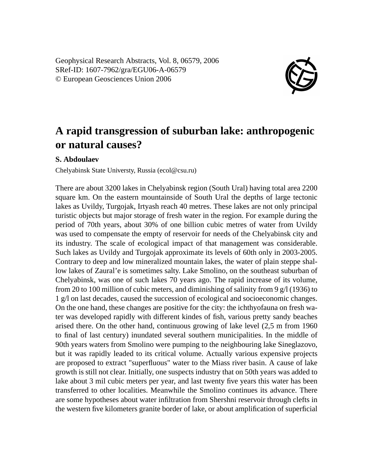Geophysical Research Abstracts, Vol. 8, 06579, 2006 SRef-ID: 1607-7962/gra/EGU06-A-06579 © European Geosciences Union 2006



## **A rapid transgression of suburban lake: anthropogenic or natural causes?**

## **S. Abdoulaev**

Chelyabinsk State Universty, Russia (ecol@csu.ru)

There are about 3200 lakes in Chelyabinsk region (South Ural) having total area 2200 square km. On the eastern mountainside of South Ural the depths of large tectonic lakes as Uvildy, Turgojak, Irtyash reach 40 metres. These lakes are not only principal turistic objects but major storage of fresh water in the region. For example during the period of 70th years, about 30% of one billion cubic metres of water from Uvildy was used to compensate the empty of reservoir for needs of the Chelyabinsk city and its industry. The scale of ecological impact of that management was considerable. Such lakes as Uvildy and Turgojak approximate its levels of 60th only in 2003-2005. Contrary to deep and low mineralized mountain lakes, the water of plain steppe shallow lakes of Zaural'e is sometimes salty. Lake Smolino, on the southeast suburban of Chelyabinsk, was one of such lakes 70 years ago. The rapid increase of its volume, from 20 to 100 million of cubic meters, and diminishing of salinity from 9  $g/1$  (1936) to 1 g/l on last decades, caused the succession of ecological and socioeconomic changes. On the one hand, these changes are positive for the city: the ichthyofauna on fresh water was developed rapidly with different kindes of fish, various pretty sandy beaches arised there. On the other hand, continuous growing of lake level (2,5 m from 1960 to final of last century) inundated several southern municipalities. In the middle of 90th years waters from Smolino were pumping to the neighbouring lake Sineglazovo, but it was rapidly leaded to its critical volume. Actually various expensive projects are proposed to extract "superfluous" water to the Miass river basin. A cause of lake growth is still not clear. Initially, one suspects industry that on 50th years was added to lake about 3 mil cubic meters per year, and last twenty five years this water has been transferred to other localities. Meanwhile the Smolino continues its advance. There are some hypotheses about water infiltration from Shershni reservoir through clefts in the western five kilometers granite border of lake, or about amplification of superficial